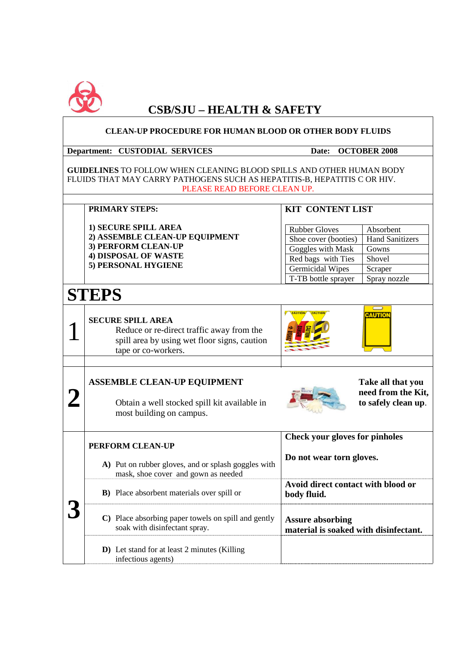

## **CSB/SJU – HEALTH & SAFETY**

 $\overline{\mathbf{1}}$ 

| <b>CLEAN-UP PROCEDURE FOR HUMAN BLOOD OR OTHER BODY FLUIDS</b>                                                                                                                          |                                                                                                                                              |                                                                                                                                                                                                                                |  |  |
|-----------------------------------------------------------------------------------------------------------------------------------------------------------------------------------------|----------------------------------------------------------------------------------------------------------------------------------------------|--------------------------------------------------------------------------------------------------------------------------------------------------------------------------------------------------------------------------------|--|--|
|                                                                                                                                                                                         | <b>Department: CUSTODIAL SERVICES</b>                                                                                                        | <b>OCTOBER 2008</b><br>Date:                                                                                                                                                                                                   |  |  |
| <b>GUIDELINES TO FOLLOW WHEN CLEANING BLOOD SPILLS AND OTHER HUMAN BODY</b><br>FLUIDS THAT MAY CARRY PATHOGENS SUCH AS HEPATITIS-B, HEPATITIS C OR HIV.<br>PLEASE READ BEFORE CLEAN UP. |                                                                                                                                              |                                                                                                                                                                                                                                |  |  |
|                                                                                                                                                                                         | <b>PRIMARY STEPS:</b>                                                                                                                        | <b>KIT CONTENT LIST</b>                                                                                                                                                                                                        |  |  |
|                                                                                                                                                                                         | 1) SECURE SPILL AREA<br>2) ASSEMBLE CLEAN-UP EQUIPMENT<br>3) PERFORM CLEAN-UP<br><b>4) DISPOSAL OF WASTE</b><br>5) PERSONAL HYGIENE          | <b>Rubber Gloves</b><br>Absorbent<br><b>Hand Sanitizers</b><br>Shoe cover (booties)<br>Goggles with Mask<br>Gowns<br>Red bags with Ties<br>Shovel<br><b>Germicidal Wipes</b><br>Scraper<br>T-TB bottle sprayer<br>Spray nozzle |  |  |
|                                                                                                                                                                                         |                                                                                                                                              |                                                                                                                                                                                                                                |  |  |
| <b>STEPS</b>                                                                                                                                                                            |                                                                                                                                              |                                                                                                                                                                                                                                |  |  |
|                                                                                                                                                                                         | <b>SECURE SPILL AREA</b><br>Reduce or re-direct traffic away from the<br>spill area by using wet floor signs, caution<br>tape or co-workers. | <b>CAUTION</b>                                                                                                                                                                                                                 |  |  |
|                                                                                                                                                                                         | <b>ASSEMBLE CLEAN-UP EQUIPMENT</b><br>Obtain a well stocked spill kit available in<br>most building on campus.                               | Take all that you<br>need from the Kit,<br>to safely clean up.                                                                                                                                                                 |  |  |
|                                                                                                                                                                                         | PERFORM CLEAN-UP                                                                                                                             | <b>Check your gloves for pinholes</b>                                                                                                                                                                                          |  |  |
|                                                                                                                                                                                         | A) Put on rubber gloves, and or splash goggles with<br>mask, shoe cover and gown as needed                                                   | Do not wear torn gloves.                                                                                                                                                                                                       |  |  |
|                                                                                                                                                                                         | <b>B</b> ) Place absorbent materials over spill or                                                                                           | Avoid direct contact with blood or<br>body fluid.                                                                                                                                                                              |  |  |
|                                                                                                                                                                                         | C) Place absorbing paper towels on spill and gently<br>soak with disinfectant spray.                                                         | <b>Assure absorbing</b><br>material is soaked with disinfectant.                                                                                                                                                               |  |  |
|                                                                                                                                                                                         | D) Let stand for at least 2 minutes (Killing<br>infectious agents)                                                                           |                                                                                                                                                                                                                                |  |  |